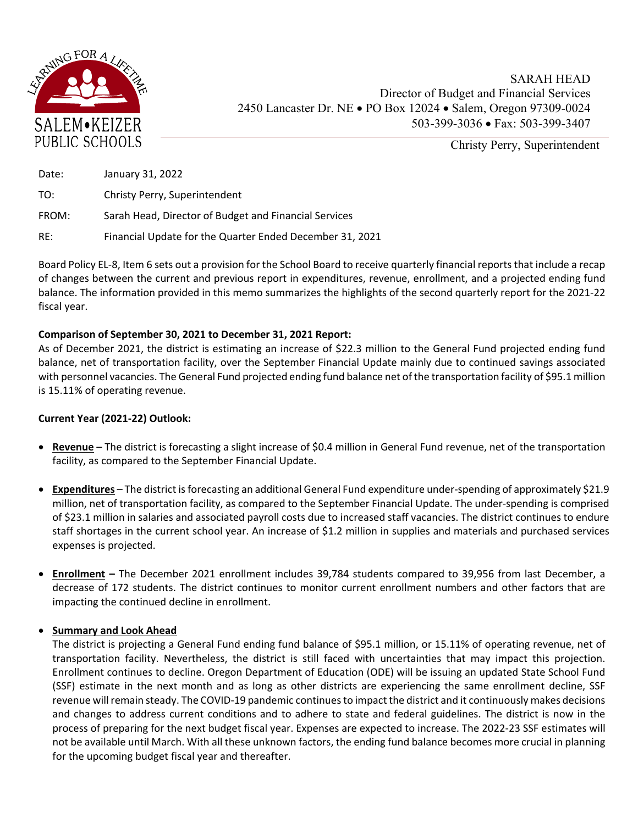

SARAH HEAD Director of Budget and Financial Services 2450 Lancaster Dr. NE · PO Box 12024 · Salem, Oregon 97309-0024 503-399-3036 Fax: 503-399-3407

Christy Perry, Superintendent

| Date: | January 31, 2022                                         |
|-------|----------------------------------------------------------|
| TO:   | Christy Perry, Superintendent                            |
| FROM: | Sarah Head, Director of Budget and Financial Services    |
| RE:   | Financial Update for the Quarter Ended December 31, 2021 |

Board Policy EL‐8, Item 6 sets out a provision for the School Board to receive quarterly financial reports that include a recap of changes between the current and previous report in expenditures, revenue, enrollment, and a projected ending fund balance. The information provided in this memo summarizes the highlights of the second quarterly report for the 2021‐22 fiscal year.

## **Comparison of September 30, 2021 to December 31, 2021 Report:**

As of December 2021, the district is estimating an increase of \$22.3 million to the General Fund projected ending fund balance, net of transportation facility, over the September Financial Update mainly due to continued savings associated with personnel vacancies. The General Fund projected ending fund balance net of the transportation facility of \$95.1 million is 15.11% of operating revenue.

## **Current Year (2021‐22) Outlook:**

- **Revenue** The district is forecasting a slight increase of \$0.4 million in General Fund revenue, net of the transportation facility, as compared to the September Financial Update.
- **Expenditures** The district is forecasting an additional General Fund expenditure under-spending of approximately \$21.9 million, net of transportation facility, as compared to the September Financial Update. The under‐spending is comprised of \$23.1 million in salaries and associated payroll costs due to increased staff vacancies. The district continues to endure staff shortages in the current school year. An increase of \$1.2 million in supplies and materials and purchased services expenses is projected.
- **Enrollment –** The December 2021 enrollment includes 39,784 students compared to 39,956 from last December, a decrease of 172 students. The district continues to monitor current enrollment numbers and other factors that are impacting the continued decline in enrollment.

## **Summary and Look Ahead**

The district is projecting a General Fund ending fund balance of \$95.1 million, or 15.11% of operating revenue, net of transportation facility. Nevertheless, the district is still faced with uncertainties that may impact this projection. Enrollment continues to decline. Oregon Department of Education (ODE) will be issuing an updated State School Fund (SSF) estimate in the next month and as long as other districts are experiencing the same enrollment decline, SSF revenue willremain steady. The COVID‐19 pandemic continuesto impact the district and it continuously makes decisions and changes to address current conditions and to adhere to state and federal guidelines. The district is now in the process of preparing for the next budget fiscal year. Expenses are expected to increase. The 2022‐23 SSF estimates will not be available until March. With all these unknown factors, the ending fund balance becomes more crucial in planning for the upcoming budget fiscal year and thereafter.